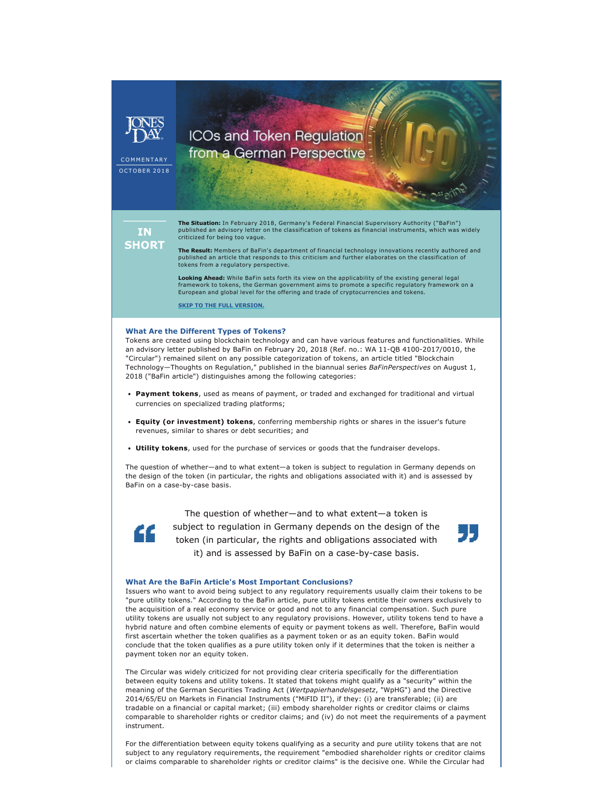

## ICOs and Token Regulation from a German Perspective

COMMENTARY **OCTOBER 2018** 

**IN SHORT**  **The Situation:** In February 2018, Germany's Federal Financial Supervisory Authority ("BaFin") published an advisory letter on the classification of tokens as financial instruments, which was widely criticized for being too vague.

**The Result:** Members of BaFin's department of financial technology innovations recently authored and published an article that responds to this criticism and further elaborates on the classification of tokens from a regulatory perspective.

**Looking Ahead:** While BaFin sets forth its view on the applicability of the existing general legal framework to tokens, the German government aims to promote a specific regulatory framework on a European and global level for the offering and trade of cryptocurrencies and tokens.

**[SKIP TO THE FULL VERSION.](https://www.jonesday.com/icos-and-token-regulation-from-a-german-perspective-10-04-2018/)**

## **What Are the Different Types of Tokens?**

Tokens are created using blockchain technology and can have various features and functionalities. While an advisory letter published by BaFin on February 20, 2018 (Ref. no.: WA 11-QB 4100-2017/0010, the "Circular") remained silent on any possible categorization of tokens, an article titled "Blockchain Technology—Thoughts on Regulation," published in the biannual series *BaFinPerspectives* on August 1, 2018 ("BaFin article") distinguishes among the following categories:

- **Payment tokens**, used as means of payment, or traded and exchanged for traditional and virtual currencies on specialized trading platforms;
- **Equity (or investment) tokens**, conferring membership rights or shares in the issuer's future revenues, similar to shares or debt securities; and
- **Utility tokens**, used for the purchase of services or goods that the fundraiser develops.

The question of whether—and to what extent—a token is subject to regulation in Germany depends on the design of the token (in particular, the rights and obligations associated with it) and is assessed by BaFin on a case-by-case basis.



The question of whether—and to what extent—a token is subject to regulation in Germany depends on the design of the token (in particular, the rights and obligations associated with it) and is assessed by BaFin on a case-by-case basis.



## **What Are the BaFin Article's Most Important Conclusions?**

Issuers who want to avoid being subject to any regulatory requirements usually claim their tokens to be "pure utility tokens." According to the BaFin article, pure utility tokens entitle their owners exclusively to the acquisition of a real economy service or good and not to any financial compensation. Such pure utility tokens are usually not subject to any regulatory provisions. However, utility tokens tend to have a hybrid nature and often combine elements of equity or payment tokens as well. Therefore, BaFin would first ascertain whether the token qualifies as a payment token or as an equity token. BaFin would conclude that the token qualifies as a pure utility token only if it determines that the token is neither a payment token nor an equity token.

The Circular was widely criticized for not providing clear criteria specifically for the differentiation between equity tokens and utility tokens. It stated that tokens might qualify as a "security" within the meaning of the German Securities Trading Act (*Wertpapierhandelsgesetz*, "WpHG") and the Directive 2014/65/EU on Markets in Financial Instruments ("MiFID II"), if they: (i) are transferable; (ii) are tradable on a financial or capital market; (iii) embody shareholder rights or creditor claims or claims comparable to shareholder rights or creditor claims; and (iv) do not meet the requirements of a payment instrument.

For the differentiation between equity tokens qualifying as a security and pure utility tokens that are not subject to any regulatory requirements, the requirement "embodied shareholder rights or creditor claims or claims comparable to shareholder rights or creditor claims" is the decisive one. While the Circular had